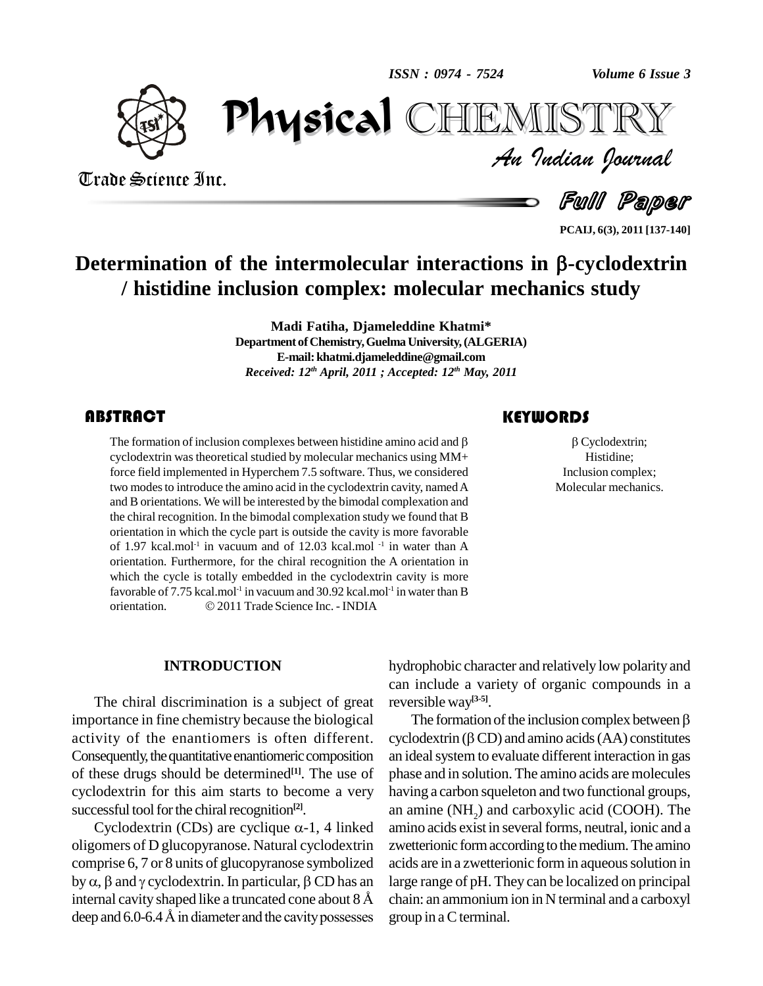*ISSN : 0974 - 7524*



Trade Science Inc.

Trade Science Inc.

*Volume 6 Issue 3*<br>IISTRY<br>Indian Iournal PhysicalEMISTR

Full Paper

**PCAIJ, 6(3), 2011 [137-140]**

# Determination of the intermolecular interactions in  $\beta$ -cyclodextrin **/ histidine inclusion complex: molecular mechanics study**

**Madi Fatiha, Djameleddine Khatmi\*** Department of Chemistry, Guelma University, (ALGERIA) **E-mail:[khatmi.djameleddine@gmail.com](mailto:khatmi.djameleddine@gmail.co)** *Received: 12 th April, 2011 ; Accepted: 12 th May, 2011*

The formation of inclusion complexes between histidine amino acid and  $\beta$  cyclodextrin was theoretical studied by molecular mechanics using MM+ force field implemented in Hyperchem 7.5 software. Thus, we considered **ABSTRACT**<br>The formation of inclusion complexes between histidine amino acid and  $\beta$ cyclodextrin wastheoretical studied by molecular mechanics using MM+ two modes to introduce the amino acid in the cyclodextrin cavity, named A and B orientations. We will be interested by the bimodal complexation and the chiral recognition. In the bimodal complexation study we found that B orientation in which the cycle part is outside the cavity is more favorable of 1.97 kcal.mol<sup>-1</sup> in vacuum and of 12.03 kcal.mol<sup>-1</sup> in water than A orientation. Furthermore, for the chiral recognition the A orientation in which the cycle is totally embedded in the cyclodextrin cavity is more<br>favorable of 7.75 kcal.mol<sup>-1</sup> in vacuum and 30.92 kcal.mol<sup>-1</sup> in water than B<br>orientation. © 2011 Trade Science Inc. - INDIA favorable of 7.75 kcal.mol<sup>-1</sup> in vacuum and 30.92 kcal.mol<sup>-1</sup> in water than B

### **KEYWORDS**

 $\beta$  Cyclodextrin;<br>Histidine;<br>Inclusion complex; Cyclodextrin; Histidine; Molecular mechanics.

#### **INTRODUCTION**

The chiral discrimination is a subject of great importance in fine chemistry because the biological activity of the enantiomers is often different. Consequently, the quantitative enantiomeric composition of these drugs should be determined **[1]**. The use of cyclodextrin for this aim starts to become a very successful tool for the chiral recognition<sup>[2]</sup>.

Cyclodextrin (CDs) are cyclique  $\alpha$ -1, 4 linked oligomers of D glucopyranose. Natural cyclodextrin zwetter<br>comprise 6, 7 or 8 units of glucopyranose symbolized acids as<br>by  $\alpha$ ,  $\beta$  and  $\gamma$  cyclodextrin. In particular,  $\beta$  CD has an large ra comprise 6, 7 or 8 units of glucopyranose symbolized acids are in<br>by  $\alpha$ ,  $\beta$  and  $\gamma$  cyclodextrin. In particular,  $\beta$  CD has an large range<br>internal cavity shaped like a truncated cone about 8 Å chain: an ar by  $\alpha$ ,  $\beta$  and  $\gamma$  cyclodextrin. In particular,  $\beta$  CD has an internal cavity shaped like a truncated cone about 8 Å deep and 6.0-6.4 Å in diameter and the cavity possesses

hydrophobic character and relatively low polarity and can include a variety of organic compounds in a<br>reversible way<sup>[3-5]</sup>. The formation of the inclusion complex between  $\beta$ reversible way **[3-5]**.

The formation of the inclusion complex between  $\beta$ <br>cyclodextrin ( $\beta$  CD) and amino acids (AA) constitutes an ideal system to evaluate different interaction in gas phase and in solution. The amino acids are molecules having a carbon squeleton and two functional groups, an amine  $(NH<sub>2</sub>)$  and carboxylic acid (COOH). The amino acids exist in several forms, neutral, ionic and a zwetterionic form according to the medium. The amino acids are in a zwetterionic form in aqueous solution in large range of pH. They can be localized on principal chain: an ammoniumion in N terminal and a carboxyl group in aCterminal.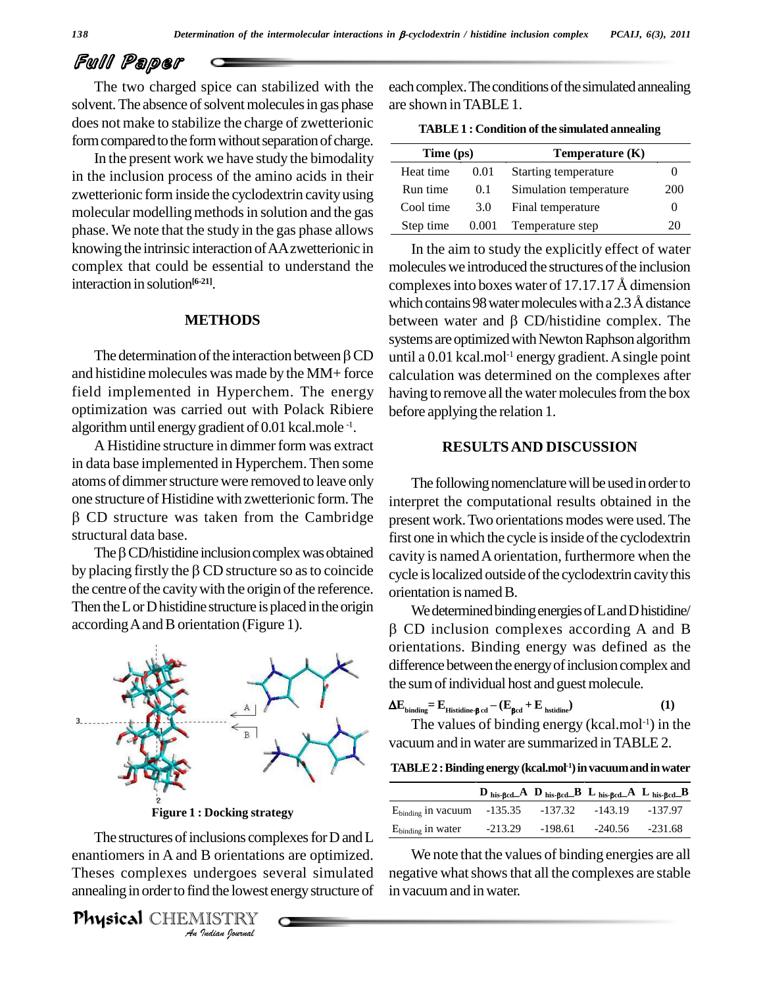# Full Paper

The two charged spice can stabilized with the solvent. The absence of solvent molecules in gas phase does not make to stabilize the charge of zwetterionic form compared to the form without separation of charge.

In the present work we have study the bimodality in the inclusion process of the amino acids in their zwetterionic forminside the cyclodextrin cavityusing molecular modelling methods in solution and the gas phase. We note that the study in the gas phase allows knowing the intrinsic interaction of AA zwetterionic in complex that could be essential to understand the interaction in solution **[6-21]**.

#### **METHODS**

and histidine molecules was made by the MM+ force field implemented in Hyperchem. The energy optimization was carried out with Polack Ribiere algorithm until energy gradient of 0.01 kcal.mole<sup>-1</sup>.

A Histidine structure in dimmer form was extract in data base implemented in Hyperchem. Then some atoms of dimmer structure were removed to leave only The one structure of Histidine with zwetterionic form.The CD structure was taken from the Cambridge present<br>uctural data base. first on<br>The  $\beta$  CD/histidine inclusion complex was obtained cavity structural data base.

The  $\beta$  CD/histidine inclusion complex was obtained<br>by placing firstly the  $\beta$  CD structure so as to coincide the centre of the cavity with the origin of the reference. Then the  $L$  or  $D$  histidine structure is placed in the origin accordingAandBorientation (Figure 1).



**Figure 1 : Docking strategy**

The structures of inclusions complexes for D and L  $\frac{E_{\text{binding}}}{E_{\text{binding}}}$ *Indians*<br>*B* orientation<br>*Indergoes* see<br>*IISTRY*<br>*<i>Indian fournal* enantiomers in A and B orientations are optimized. Theses complexes undergoes several simulated annealing in order to find the lowest energy structure of in v

Physical CHEMISTRY

each complex. The conditions of the simulated annealing are shown inTABLE 1.

**TABLE 1 :** Condition of the simulated annealing

| Time (ps) |       | Temperature $(K)$      |            |
|-----------|-------|------------------------|------------|
| Heat time | 0.01  | Starting temperature   |            |
| Run time  | 0.1   | Simulation temperature | <b>200</b> |
| Cool time | 3.0   | Final temperature      |            |
| Step time | 0.001 | Temperature step       | 20         |

**METHODS** between water and  $\beta$  CD/histidine complex. The systems are optimized with Newton Raphson algorithm<br>The determination of the interaction between  $\beta$ CD until a 0.01 kcal.mol<sup>-1</sup> energy gradient. A single point In the aim to study the explicitly effect of water<br>molecules we introduced the structures of the inclusion<br>complexes into boxes water of 17.17.17 Å dimension molecules we introduced the structures of the inclusion molecules we introduced the structures of the inclusion<br>complexes into boxes water of 17.17.17 Å dimension<br>which contains 98 water molecules with a 2.3 Å distance complexes into boxes water of 17.17.17 Å dimension<br>which contains 98 water molecules with a 2.3 Å distance<br>between water and  $\beta$  CD/histidine complex. The systems are optimized with Newton Raphson algorithm until a 0.01 kcal.mol -1 energy gradient.Asingle point calculation was determined on the complexes after having to remove all the water molecules from the box before applying the relation 1.

#### **RESULTSAND DISCUSSION**

The following nomenclature will be used in order to interpret the computational results obtained in the present work.Two orientations modes were used.The first one in which the cycle is inside of the cyclodextrin cavity is named A orientation, furthermore when the cycle is localized outside of the cyclodextrin cavity this orientation is named B.

We determined binding energies of Land D histidine/  $\beta$  CD inclusion complexes according A and B orientations. Binding energy was defined as the difference between the energy of inclusion complex and the sum of individual host and guest molecule.<br>  $\Delta E_{\text{binding}} = E_{\text{Historile-}\beta \text{ ed}} - (E_{\beta \text{ed}} + E_{\text{hstidine}})$  (1)

$$
\Delta E_{\text{binding}} = E_{\text{Historine-}\beta \text{ cd}} - (E_{\beta \text{cd}} + E_{\text{bstidine}}) \tag{1}
$$

The values of binding energy  $(kcal.mol^{-1})$  in the vacuum and in water are summarized in TABLE 2.

**TABLE2 :Binding energy (kcal.mol -1)invacuumandinwater**

|                                                                | $\mathbf{D}_{\text{his-}\beta\text{cd}}\mathbf{A}$ $\mathbf{D}_{\text{his-}\beta\text{cd}}\mathbf{B}$ $\mathbf{L}_{\text{his-}\beta\text{cd}}\mathbf{A}$ $\mathbf{L}_{\text{his-}\beta\text{cd}}\mathbf{B}$ |  |
|----------------------------------------------------------------|-------------------------------------------------------------------------------------------------------------------------------------------------------------------------------------------------------------|--|
| E <sub>binding</sub> in vacuum -135.35 -137.32 -143.19 -137.97 |                                                                                                                                                                                                             |  |
| E <sub>binding</sub> in water -213.29 -198.61 -240.56 -231.68  |                                                                                                                                                                                                             |  |

We note that the values of binding energies are all negative what shows that all the complexes are stable in vacuumand inwater.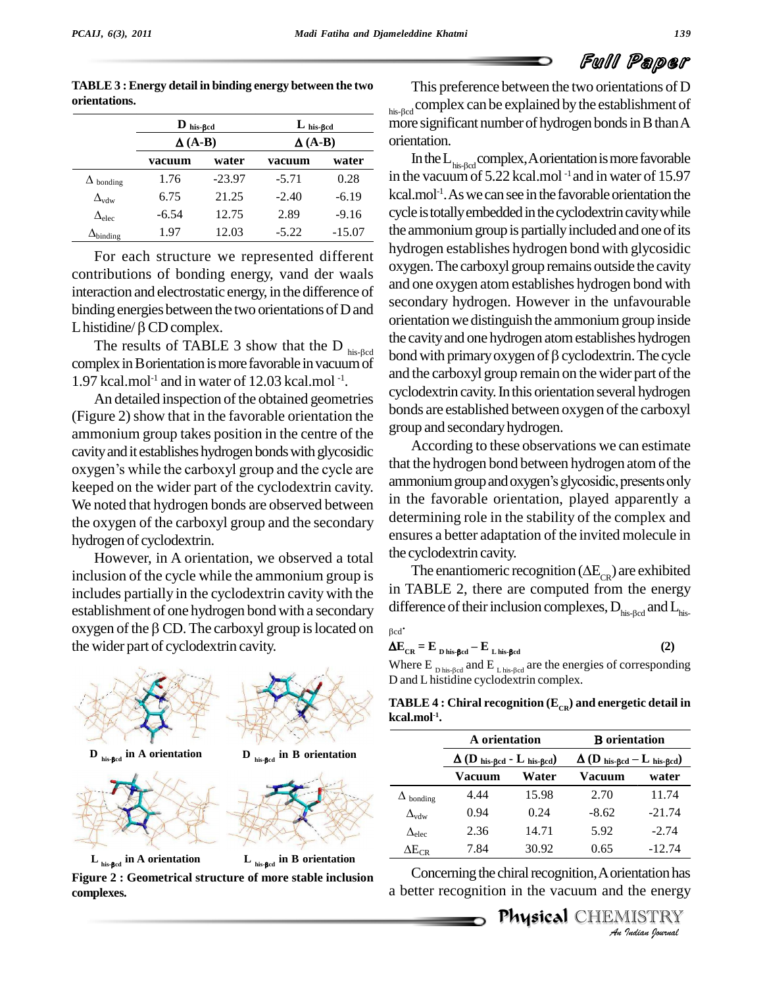|                        | $\mathbf{D}_{\text{ his-}\beta cd}$ |          | $L$ his-Bed    |         |
|------------------------|-------------------------------------|----------|----------------|---------|
|                        | $\Delta (A-B)$                      |          | $\Delta (A-B)$ |         |
|                        | vacuum                              | water    | vacuum         | water   |
| $\Delta$ bonding       | 1.76                                | $-23.97$ | $-5.71$        | 0.28    |
| $\Delta_{vdw}$         | 6.75                                | 21.25    | $-2.40$        | $-6.19$ |
| $\Delta_{\text{elec}}$ | $-6.54$                             | 12.75    | 2.89           | $-9.16$ |
|                        |                                     |          |                |         |

**TABLE3 :Energy detail in binding energy between the two orientations.**

For each structure we represented different contributions of bonding energy, vand der waals interaction and electrostatic energy, in the difference of<br>binding energies between the two orientations of D and<br>L histidine/ $\beta$  CD complex. binding energies between the two orientations of D and

L histidine/ $\beta$  CD complex.<br>The results of TABLE 3 show that the D  $_{\text{his-}\beta$ cd complex in Borientation is more favorable in vacuum of  $1.97$  kcal.mol<sup>-1</sup> and in water of 12.03 kcal.mol<sup>-1</sup>. .

An detailed inspection of the obtained geometries (Figure 2) show that in the favorable orientation the ammonium group takes position in the centre of the cavity and it establishes hydrogen bonds with glycosidic  $\overline{A}$ ammonium group takes position in the centre of the group<br>cavity and it establishes hydrogen bonds with glycosidic A<br>oxygen's while the carboxyl group and the cycle are that the keeped on the wider part of the cyclodextrin cavity. We noted that hydrogen bonds are observed between the oxygen of the carboxyl group and the secondary hydrogen of cyclodextrin.

However, in A orientation, we observed a total inclusion of the cycle while the ammonium group is includes partially in the cyclodextrin cavity with the establishment of one hydrogen bond with a secondary oxygen of the  $\beta$  CD. The carboxyl group is located on the wider part of cyclodextrin cavity.



**Figure 2 : Geometrical structure of more stable inclusion complexes.**

This preference between the two orientations of D his-Bed complex can be explained by the establishment of more significant number of hydrogen bonds in B than A orientation.

In the  $L_{\text{his-Red}}$  complex, A orientation is more favorable in the vacuumof 5.22 kcal.mol -1 and in water of 15.97 kcal.mol<sup>-1</sup>. As we can see in the favorable orientation the cycle is totally embedded in the cyclodextrin cavity while the ammonium group is partially included and one of its hydrogen establishes hydrogen bond with glycosidic oxygen.The carboxyl group remains outside the cavity and one oxygen atom establishes hydrogen bond with secondary hydrogen. However in the unfavourable orientationwe distinguish the ammoniumgroup inside the cavityand one hydrogen atomestablishes hydrogen bond with primary oxygen of  $\beta$  cyclodextrin. The cycle and the carboxyl group remain on the wider part of the cyclodextrin cavity. In this orientation several hydrogen bonds are established between oxygen of the carboxyl group and secondaryhydrogen. binding 1.97 12.03 -5.22 -15.07 the a

> According to these observations we can estimate that the hydrogen bond between hydrogen atom of the ammonium group and oxygen's glycosidic, presents only in the favorable orientation, played apparently a determining role in the stability of the complex and ensures a better adaptation of the invited molecule in the cyclodextrin cavity. ures a better adaptation of the invited molecule in<br>cyclodextrin cavity.<br>The enantiomeric recognition ( $\Delta E_{CR}$ ) are exhibited

in TABLE 2, there are computed from the energy In TABLE 2, there are computed from the energy<br>difference of their inclusion complexes,  $D_{\text{his-}\beta \text{cd}}$  and  $L_{\text{his-}}$ 

$$
\beta cd^{\bullet}
$$

$$
\Delta E_{CR} = E_{D \text{ his-}\beta cd} - E_{L \text{ his-}\beta cd} \tag{2}
$$
\nWhere  $E_{D \text{ his-}\beta cd}$  and  $E_{L \text{ his-}\beta cd}$  are the energies of corresponding

D and L histidine cyclodextrin complex.

**TABLE 4 : Chiral recognition (E<sub>CR</sub>) and energetic detail in**<br> **kcal.mol<sup>-1</sup>. A** orientation **orientation kcal.mol -1 .** ÷,

|                        | A orientation                                           |       | <b>B</b> orientation                                    |          |
|------------------------|---------------------------------------------------------|-------|---------------------------------------------------------|----------|
|                        | $\Delta$ (D <sub>his-Bcd</sub> - L <sub>his-Bcd</sub> ) |       | $\Delta$ (D <sub>his-Bed</sub> – L <sub>his-Bed</sub> ) |          |
|                        | Vacuum                                                  | Water | Vacuum                                                  | water    |
| $\Delta$ bonding       | 4.44                                                    | 15.98 | 2.70                                                    | 11.74    |
| $\Delta_{\text{vdw}}$  | 0.94                                                    | 0.24  | $-8.62$                                                 | $-21.74$ |
| $\Delta_{\text{elec}}$ | 2.36                                                    | 14.71 | 5.92                                                    | $-2.74$  |
| $\Delta E_{\rm CR}$    | 7.84                                                    | 30.92 | 0.65                                                    | $-12.74$ |

-2.74<br><u>Indian</u><br>**Indian** has<br>**INSTRY**<br>*Indian fournal* Concerning the chiral recognition, A orientation has a better recognition in the vacuum and the energy